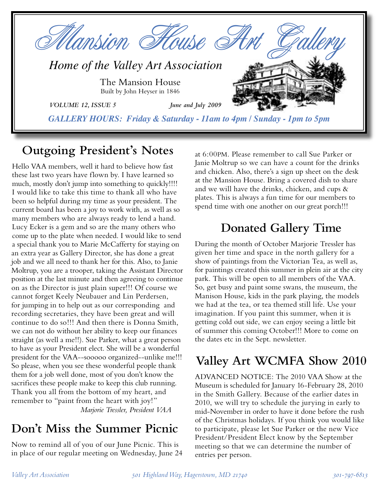

# **Outgoing President's Notes**

Hello VAA members, well it hard to believe how fast these last two years have flown by. I have learned so much, mostly don't jump into something to quickly!!!! I would like to take this time to thank all who have been so helpful during my time as your president. The current board has been a joy to work with, as well as so many members who are always ready to lend a hand. Lucy Ecker is a gem and so are the many others who come up to the plate when needed. I would like to send a special thank you to Marie McCafferty for staying on an extra year as Gallery Director, she has done a great job and we all need to thank her for this. Also, to Janie Moltrup, you are a trooper, taking the Assistant Director position at the last minute and then agreeing to continue on as the Director is just plain super!!! Of course we cannot forget Keely Neubauer and Lin Perdersen, for jumping in to help out as our corresponding and recording secretaries, they have been great and will continue to do so!!! And then there is Donna Smith, we can not do without her ability to keep our finances straight (as well a me!!). Sue Parker, what a great person to have as your President elect. She will be a wonderful president for the VAA--sooooo organized--unlike me!!! So please, when you see these wonderful people thank them for a job well done, most of you don't know the sacrifices these people make to keep this club running. Thank you all from the bottom of my heart, and remember to "paint from the heart with joy!" *Marjorie Tressler, President VAA*

# **Don't Miss the Summer Picnic**

Now to remind all of you of our June Picnic. This is in place of our regular meeting on Wednesday, June 24 at 6:00PM. Please remember to call Sue Parker or Janie Moltrup so we can have a count for the drinks and chicken. Also, there's a sign up sheet on the desk at the Mansion House. Bring a covered dish to share and we will have the drinks, chicken, and cups & plates. This is always a fun time for our members to spend time with one another on our great porch!!!

# **Donated Gallery Time**

During the month of October Marjorie Tressler has given her time and space in the north gallery for a show of paintings from the Victorian Tea, as well as, for paintings created this summer in plein air at the city park. This will be open to all members of the VAA. So, get busy and paint some swans, the museum, the Manison House, kids in the park playing, the models we had at the tea, or tea themed still life. Use your imagination. If you paint this summer, when it is getting cold out side, we can enjoy seeing a little bit of summer this coming October!!! More to come on the dates etc in the Sept. newsletter.

# **Valley Art WCMFA Show 2010**

ADVANCED NOTICE: The 2010 VAA Show at the Museum is scheduled for January 16-February 28, 2010 in the Smith Gallery. Because of the earlier dates in 2010, we will try to schedule the jurying in early to mid-November in order to have it done before the rush of the Christmas holidays. If you think you would like to participate, please let Sue Parker or the new Vice President/President Elect know by the September meeting so that we can determine the number of entries per person.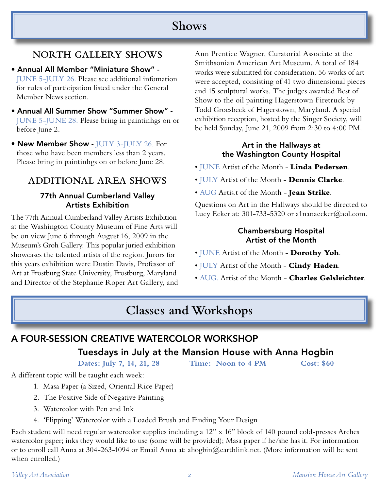## **Shows**

## **NORTH GALLERY SHOWS**

- Annual All Member "Miniature Show" JUNE 5-JULY 26. Please see additional infomation for rules of participation listed under the General Member News section.
- Annual All Summer Show "Summer Show" JUNE 5-JUNE 28. Please bring in paintinhgs on or before June 2.
- New Member Show JULY 3-JULY 26. For those who have been members less than 2 years. Please bring in paintinhgs on or before June 28.

## **ADDITIONAL AREA SHOWS**

#### 77th Annual Cumberland Valley Artists Exhibition

The 77th Annual Cumberland Valley Artists Exhibition at the Washington County Museum of Fine Arts will be on view June 6 through August 16, 2009 in the Museum's Groh Gallery. This popular juried exhibition showcases the talented artists of the region. Jurors for this years exhibition were Dustin Davis, Professor of Art at Frostburg State University, Frostburg, Maryland and Director of the Stephanie Roper Art Gallery, and Ann Prentice Wagner, Curatorial Associate at the Smithsonian American Art Museum. A total of 184 works were submitted for consideration. 56 works of art were accepted, consisting of 41 two dimensional pieces and 15 sculptural works. The judges awarded Best of Show to the oil painting Hagerstown Firetruck by Todd Groesbeck of Hagerstown, Maryland. A special exhibition reception, hosted by the Singer Society, will be held Sunday, June 21, 2009 from 2:30 to 4:00 PM.

#### Art in the Hallways at the Washington County Hospital

- JUNE Artist of the Month **Linda Pedersen**.
- JULY Artist of the Month **Dennis Clarke**.
- AUG Artis.t of the Month **Jean Strike**.

Questions on Art in the Hallways should be directed to Lucy Ecker at: 301-733-5320 or a1nanaecker@aol.com.

#### Chambersburg Hospital Artist of the Month

- JUNE Artist of the Month **Dorothy Yoh**.
- JULY Artist of the Month **Cindy Haden**.
- AUG. Artist of the Month **Charles Gelsleichter**.

# **Classes and Workshops**

## A FOUR-SESSION CREATIVE WATERCOLOR WORKSHOP

### Tuesdays in July at the Mansion House with Anna Hogbin

**Dates: July 7, 14, 21, 28 Time: Noon to 4 PM Cost: \$60**

A different topic will be taught each week:

- 1. Masa Paper (a Sized, Oriental Rice Paper)
- 2. The Positive Side of Negative Painting
- 3. Watercolor with Pen and Ink
- 4. 'Flipping' Watercolor with a Loaded Brush and Finding Your Design

Each student will need regular watercolor supplies including a 12" x 16" block of 140 pound cold-presses Arches watercolor paper; inks they would like to use (some will be provided); Masa paper if he/she has it. For information or to enroll call Anna at 304-263-1094 or Email Anna at: ahogbin@earthlink.net. (More information will be sent when enrolled.)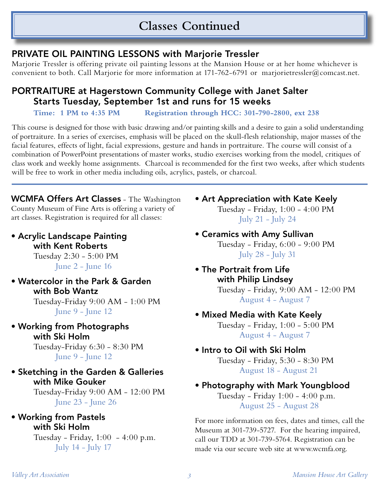# **Classes Continued**

### PRIVATE OIL PAINTING LESSONS with Marjorie Tressler

Marjorie Tressler is offering private oil painting lessons at the Mansion House or at her home whichever is convenient to both. Call Marjorie for more information at 171-762-6791 or marjorietressler@comcast.net.

### PORTRAITURE at Hagerstown Community College with Janet Salter Starts Tuesday, September 1st and runs for 15 weeks

**Time: 1 PM to 4:35 PM Registration through HCC: 301-790-2800, ext 238**

This course is designed for those with basic drawing and/or painting skills and a desire to gain a solid understanding of portraiture. In a series of exercises, emphasis will be placed on the skull-flesh relationship, major masses of the facial features, effects of light, facial expressions, gesture and hands in portraiture. The course will consist of a combination of PowerPoint presentations of master works, studio exercises working from the model, critiques of class work and weekly home assignments. Charcoal is recommended for the first two weeks, after which students will be free to work in other media including oils, acrylics, pastels, or charcoal.

WCMFA Offers Art Classes - The Washington County Museum of Fine Arts is offering a variety of art classes. Registration is required for all classes:

- Acrylic Landscape Painting with Kent Roberts Tuesday 2:30 - 5:00 PM June 2 - June 16
- Watercolor in the Park & Garden with Bob Wantz Tuesday-Friday 9:00 AM - 1:00 PM

June 9 - June 12

• Working from Photographs with Ski Holm

> Tuesday-Friday 6:30 - 8:30 PM June 9 - June 12

• Sketching in the Garden & Galleries with Mike Gouker

Tuesday-Friday 9:00 AM - 12:00 PM June 23 - June 26

#### • Working from Pastels with Ski Holm

 Tuesday - Friday, 1:00 - 4:00 p.m. July 14 - July 17

- Art Appreciation with Kate Keely Tuesday - Friday, 1:00 - 4:00 PM July 21 - July 24
- Ceramics with Amy Sullivan Tuesday - Friday, 6:00 - 9:00 PM July 28 - July 31
- The Portrait from Life with Philip Lindsey Tuesday - Friday, 9:00 AM - 12:00 PM

August 4 - August 7

- Mixed Media with Kate Keely Tuesday - Friday, 1:00 - 5:00 PM August 4 - August 7
- Intro to Oil with Ski Holm Tuesday - Friday, 5:30 - 8:30 PM August 18 - August 21
- Photography with Mark Youngblood Tuesday - Friday 1:00 - 4:00 p.m. August 25 - August 28

For more information on fees, dates and times, call the Museum at 301-739-5727. For the hearing impaired, call our TDD at 301-739-5764. Registration can be made via our secure web site at www.wcmfa.org.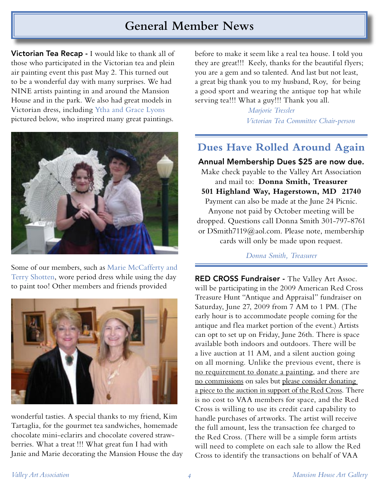# **General Member News**

Victorian Tea Recap - I would like to thank all of those who participated in the Victorian tea and plein air painting event this past May 2. This turned out to be a wonderful day with many surprises. We had NINE artists painting in and around the Mansion House and in the park. We also had great models in Victorian dress, including Ytha and Grace Lyons pictured below, who insprired many great paintings.



Some of our members, such as Marie McCafferty and Terry Shotten, wore period dress while using the day to paint too! Other members and friends provided



wonderful tasties. A special thanks to my friend, Kim Tartaglia, for the gourmet tea sandwiches, homemade chocolate mini-eclarirs and chocolate covered strawberries. What a treat !!! What great fun I had with Janie and Marie decorating the Mansion House the day before to make it seem like a real tea house. I told you they are great!!! Keely, thanks for the beautiful flyers; you are a gem and so talented. And last but not least, a great big thank you to my husband, Roy, for being a good sport and wearing the antique top hat while serving tea!!! What a guy!!! Thank you all.

> *Marjorie Tressler Victorian Tea Committee Chair-person*

### **Dues Have Rolled Around Again**

Annual Membership Dues \$25 are now due. Make check payable to the Valley Art Association and mail to: **Donna Smith, Treasurer 501 Highland Way, Hagerstown, MD 21740** Payment can also be made at the June 24 Picnic. Anyone not paid by October meeting will be dropped. Questions call Donna Smith 301-797-8761 or DSmith7119@aol.com. Please note, membership cards will only be made upon request.

#### *Donna Smith, Treasurer*

RED CROSS Fundraiser - The Valley Art Assoc. will be participating in the 2009 American Red Cross Treasure Hunt "Antique and Appraisal" fundraiser on Saturday, June 27, 2009 from 7 AM to 1 PM. (The early hour is to accommodate people coming for the antique and flea market portion of the event.) Artists can opt to set up on Friday, June 26th. There is space available both indoors and outdoors. There will be a live auction at 11 AM, and a silent auction going on all morning. Unlike the previous event, there is no requirement to donate a painting, and there are no commissions on sales but please consider donating a piece to the auction in support of the Red Cross. There is no cost to VAA members for space, and the Red Cross is willing to use its credit card capability to handle purchases of artworks. The artist will receive the full amount, less the transaction fee charged to the Red Cross. (There will be a simple form artists will need to complete on each sale to allow the Red Cross to identify the transactions on behalf of VAA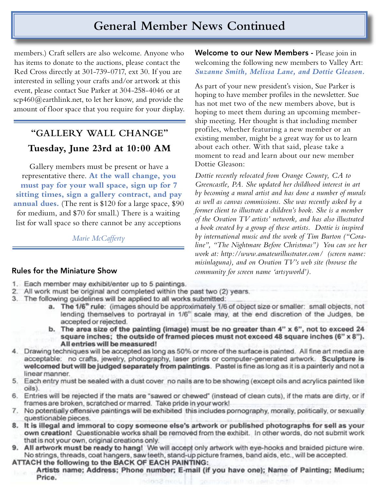# **General Member News Continued**

members.) Craft sellers are also welcome. Anyone who has items to donate to the auctions, please contact the Red Cross directly at 301-739-0717, ext 30. If you are interested in selling your crafts and/or artwork at this event, please contact Sue Parker at 304-258-4046 or at  $scp460@$ earthlink.net, to let her know, and provide the amount of floor space that you require for your display.

## **"GALLERY WALL CHANGE" Tuesday, June 23rd at 10:00 AM**

Gallery members must be present or have a representative there. **At the wall change, you must pay for your wall space, sign up for 7 sitting times, sign a gallery contract, and pay annual dues.** (The rent is \$120 for a large space, \$90 for medium, and \$70 for small.) There is a waiting list for wall space so there cannot be any acceptions

*Marie McCafferty*

Welcome to our New Members - Please join in welcoming the following new members to Valley Art: *Suzanne Smith, Melissa Lane, and Dottie Gleason.*

As part of your new president's vision, Sue Parker is hoping to have member profiles in the newsletter. Sue has not met two of the new members above, but is hoping to meet them during an upcoming membership meeting. Her thought is that including member profiles, whether featuring a new member or an existing member, might be a great way for us to learn about each other. With that said, please take a moment to read and learn about our new member Dottie Gleason:

*Dottie recently relocated from Orange County, CA to Greencastle, PA. She updated her childhood interest in art by becoming a mural artist and has done a number of murals as well as canvas commissions. She was recently asked by a former client to illustrate a children's book. She is a member of the Ovation TV artists' network, and has also illustrated a book created by a group of these artists. Dottie is inspired by international music and the work of Tim Burton ("Coraline", "The Nightmare Before Christmas") You can see her work at: http://www.amateurillustrator.com/ (screen name: misinlaguna), and on Ovation TV's web site (browse the community for screen name 'artsyworld').*

#### Rules for the Miniature Show

- 1. Each member may exhibit/enter up to 5 paintings.
- 2. All work must be original and completed within the past two (2) years.
- 3. The following guidelines will be applied to all works submitted:
	- a. The 1/6<sup>m</sup> rule: (images should be approximately 1/6 of object size or smaller: small objects, not lending themselves to portrayal in 1/6" scale may, at the end discretion of the Judges, be accepted or rejected.
	- b. The area size of the painting (image) must be no greater than 4" x 6", not to exceed 24 square inches; the outside of framed pieces must not exceed 48 square inches (6" x 8"). All entries will be measured!
- 4. Drawing techniques will be accepted as long as 50% or more of the surface is painted. All fine art media are acceptable: no crafts, jewelry, photography, laser prints or computer-generated artwork. Sculpture is welcomed but will be judged separately from paintings. Pastel is fine as long as it is a painterly and not a linear manner.
- 5. Each entry must be sealed with a dust cover no nails are to be showing (except oils and acrylics painted like oils).
- 6. Entries will be rejected if the mats are "sawed or chewed" (instead of clean cuts), if the mats are dirty, or if frames are broken, scratched or marred. Take pride in your work!
- 7. No potentially offensive paintings will be exhibited this includes pornography, morally, politically, or sexually questionable pieces.
- 8. It is illegal and immoral to copy someone else's artwork or published photographs for sell as your own creation! Questionable works shall be removed from the exhibit. In other words, do not submit work that is not your own, original creations only.
- 9. All artwork must be ready to hang! We will accept only artwork with eye-hooks and braided picture wire. No strings, threads, coat hangers, saw teeth, stand-up picture frames, band aids, etc., will be accepted. ATTACH the following to the BACK OF EACH PAINTING:
	- Artists name; Address; Phone number; E-mail (if you have one); Name of Painting; Medium; Price.